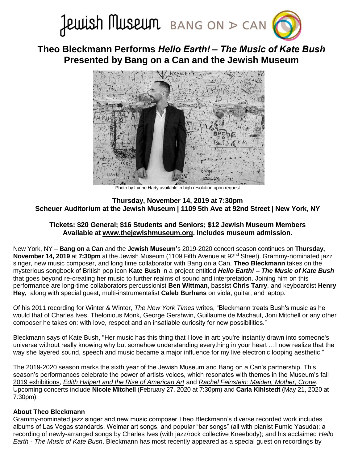

# **Theo Bleckmann Performs** *Hello Earth! – The Music of Kate Bush* **Presented by Bang on a Can and the Jewish Museum**



Photo by Lynne Harty available in high resolution upon request

## **Thursday, November 14, 2019 at 7:30pm Scheuer Auditorium at the Jewish Museum | 1109 5th Ave at 92nd Street | New York, NY**

# **Tickets: \$20 General; \$16 Students and Seniors; \$12 Jewish Museum Members Available at [www.thejewishmuseum.org.](https://bangonacan.org/2019/november/bang_on_a_can_and_the_jewish_museum_present_theo_bleckmann_the_jewish_museum) Includes museum admission.**

New York, NY – **Bang on a Can** and the **Jewish Museum'**s 2019-2020 concert season continues on **Thursday, November 14, 2019** at **7:30pm** at the Jewish Museum (1109 Fifth Avenue at 92<sup>nd</sup> Street). Grammy-nominated jazz singer, new music composer, and long time collaborator with Bang on a Can, **Theo Bleckmann** takes on the mysterious songbook of British pop icon **Kate Bush** in a project entitled *Hello Earth! – The Music of Kate Bush* that goes beyond re-creating her music to further realms of sound and interpretation. Joining him on this performance are long-time collaborators percussionist **Ben Wittman**, bassist **Chris Tarry**, and keyboardist **Henry Hey,** along with special guest, multi-instrumentalist **Caleb Burhans** on viola, guitar, and laptop.

Of his 2011 recording for Winter & Winter, *The New York Times* writes, "Bleckmann treats Bush's music as he would that of Charles Ives, Thelonious Monk, George Gershwin, Guillaume de Machaut, Joni Mitchell or any other composer he takes on: with love, respect and an insatiable curiosity for new possibilities."

Bleckmann says of Kate Bush, "Her music has this thing that I love in art: you're instantly drawn into someone's universe without really knowing why but somehow understanding everything in your heart …I now realize that the way she layered sound, speech and music became a major influence for my live electronic looping aesthetic."

The 2019-2020 season marks the sixth year of the Jewish Museum and Bang on a Can's partnership. This season's performances celebrate the power of artists voices, which resonates with themes in the [Museum's fall](https://thejewishmuseum.org/exhibitions)  [2019 exhibitions,](https://thejewishmuseum.org/exhibitions) *[Edith Halpert and the Rise of American Art](https://thejewishmuseum.org/exhibitions/edith-halpert-and-the-rise-of-american-art)* and *[Rachel Feinstein: Maiden, Mother, Crone](https://thejewishmuseum.org/exhibitions/rachel-feinstein-maiden-mother-crone)*. Upcoming concerts include **Nicole Mitchell** (February 27, 2020 at 7:30pm) and **Carla Kihlstedt** (May 21, 2020 at 7:30pm).

### **About Theo Bleckmann**

Grammy-nominated jazz singer and new music composer Theo Bleckmann's diverse recorded work includes albums of Las Vegas standards, Weimar art songs, and popular "bar songs" (all with pianist Fumio Yasuda); a recording of newly-arranged songs by Charles Ives (with jazz/rock collective Kneebody); and his acclaimed *Hello Earth - The Music of Kate Bush*. Bleckmann has most recently appeared as a special guest on recordings by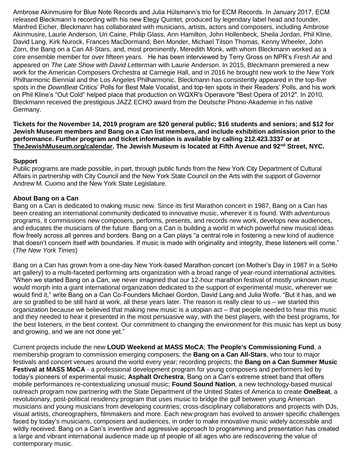Ambrose Akinmusire for Blue Note Records and Julia Hülsmann's trio for ECM Records. In January 2017, ECM released Bleckmann's recording with his new Elegy Quintet, produced by legendary label head and founder, Manfred Eicher. Bleckmann has collaborated with musicians, artists, actors and composers, including Ambrose Akinmusire, Laurie Anderson, Uri Caine, Philip Glass, Ann Hamilton, John Hollenbeck, Sheila Jordan, Phil Kline, David Lang, Kirk Nurock, Frances MacDormand, Ben Monder, Michael Tilson Thomas, Kenny Wheeler, John Zorn, the Bang on a Can All-Stars, and, most prominently, Meredith Monk, with whom Bleckmann worked as a core ensemble member for over fifteen years. He has been interviewed by Terry Gross on NPR's *Fresh Air* and appeared on *The Late Show with David Letterman* with Laurie Anderson. In 2015, Bleckmann premiered a new work for the American Composers Orchestra at Carnegie Hall, and in 2016 he brought new work to the New York Philharmonic Biennial and the Los Angeles Philharmonic. Bleckmann has consistently appeared in the top-five spots in the *DownBeat* Critics' Polls for Best Male Vocalist, and top-ten spots in their Readers' Polls, and his work on Phil Kline's "Out Cold" helped place that production on WQXR's Operavore "Best Opera of 2012". In 2010, Bleckmann received the prestigious JAZZ ECHO award from the Deutsche Phono-Akademie in his native Germany.

**Tickets for the November 14, 2019 program are \$20 general public; \$16 students and seniors; and \$12 for Jewish Museum members and Bang on a Can list members, and include exhibition admission prior to the performance. Further program and ticket information is available by calling 212.423.3337 or at [TheJewishMuseum.org/calendar.](http://thejewishmuseum.org/calendar) The Jewish Museum is located at Fifth Avenue and 92nd Street, NYC.**

### **Support**

Public programs are made possible, in part, through public funds from the New York City Department of Cultural Affairs in partnership with City Council and the New York State Council on the Arts with the support of Governor Andrew M. Cuomo and the New York State Legislature.

### **About Bang on a Can**

Bang on a Can is dedicated to making music new. Since its first Marathon concert in 1987, Bang on a Can has been creating an international community dedicated to innovative music, wherever it is found. With adventurous programs, it commissions new composers, performs, presents, and records new work, develops new audiences, and educates the musicians of the future. Bang on a Can is building a world in which powerful new musical ideas flow freely across all genres and borders. Bang on a Can plays "a central role in fostering a new kind of audience that doesn't concern itself with boundaries. If music is made with originality and integrity, these listeners will come." (*The New York Times*)

Bang on a Can has grown from a one-day New York-based Marathon concert (on Mother's Day in 1987 in a SoHo art gallery) to a multi-faceted performing arts organization with a broad range of year-round international activities. "When we started Bang on a Can, we never imagined that our 12-hour marathon festival of mostly unknown music would morph into a giant international organization dedicated to the support of experimental music, wherever we would find it," write Bang on a Can Co-Founders Michael Gordon, David Lang and Julia Wolfe. "But it has, and we are so gratified to be still hard at work, all these years later. The reason is really clear to us – we started this organization because we believed that making new music is a utopian act – that people needed to hear this music and they needed to hear it presented in the most persuasive way, with the best players, with the best programs, for the best listeners, in the best context. Our commitment to changing the environment for this music has kept us busy and growing, and we are not done yet."

Current projects include the new **LOUD Weekend at MASS MoCA**; **The People's Commissioning Fund**, a membership program to commission emerging composers; the **Bang on a Can All-Stars**, who tour to major festivals and concert venues around the world every year; recording projects; the **Bang on a Can Summer Music Festival at MASS MoCA** - a professional development program for young composers and performers led by today's pioneers of experimental music; **Asphalt Orchestra**, Bang on a Can's extreme street band that offers mobile performances re-contextualizing unusual music; **Found Sound Nation**, a new technology-based musical outreach program now partnering with the State Department of the United States of America to create **OneBeat**, a revolutionary, post-political residency program that uses music to bridge the gulf between young American musicians and young musicians from developing countries; cross-disciplinary collaborations and projects with DJs, visual artists, choreographers, filmmakers and more. Each new program has evolved to answer specific challenges faced by today's musicians, composers and audiences, in order to make innovative music widely accessible and wildly received. Bang on a Can's inventive and aggressive approach to programming and presentation has created a large and vibrant international audience made up of people of all ages who are rediscovering the value of contemporary music.